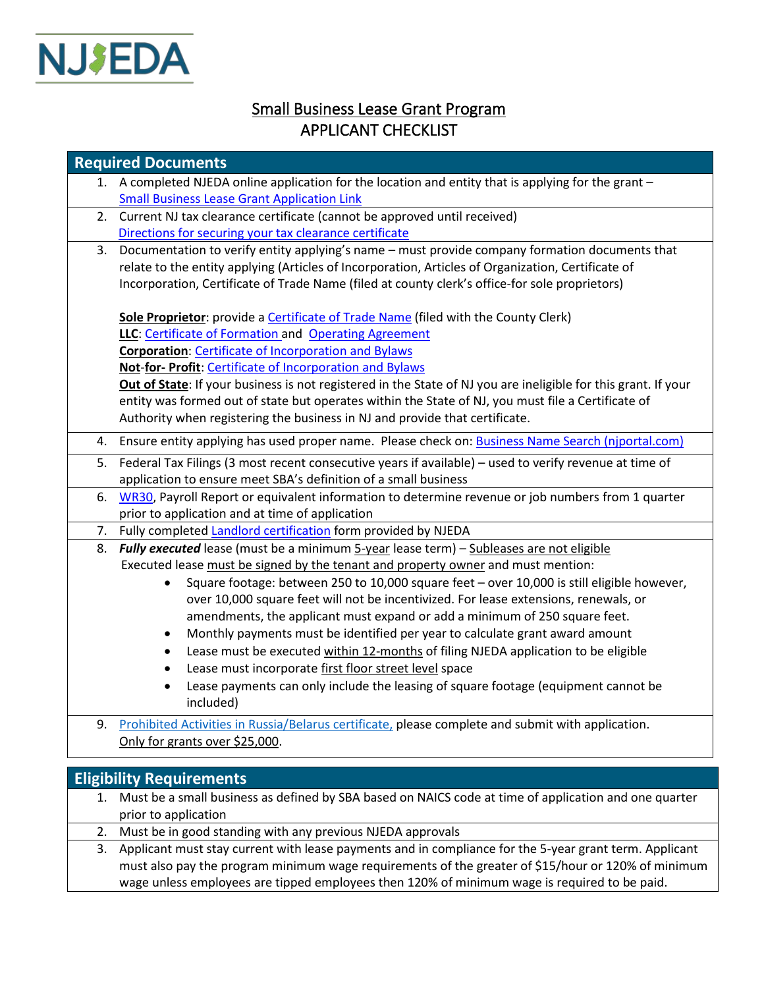

## Small Business Lease Grant Program APPLICANT CHECKLIST

|    | <b>Required Documents</b>                                                                                      |
|----|----------------------------------------------------------------------------------------------------------------|
|    | 1. A completed NJEDA online application for the location and entity that is applying for the grant -           |
|    | <b>Small Business Lease Grant Application Link</b>                                                             |
| 2. | Current NJ tax clearance certificate (cannot be approved until received)                                       |
|    | Directions for securing your tax clearance certificate                                                         |
| 3. | Documentation to verify entity applying's name - must provide company formation documents that                 |
|    | relate to the entity applying (Articles of Incorporation, Articles of Organization, Certificate of             |
|    | Incorporation, Certificate of Trade Name (filed at county clerk's office-for sole proprietors)                 |
|    | Sole Proprietor: provide a Certificate of Trade Name (filed with the County Clerk)                             |
|    | LLC: Certificate of Formation and Operating Agreement                                                          |
|    | <b>Corporation: Certificate of Incorporation and Bylaws</b>                                                    |
|    | Not-for- Profit: Certificate of Incorporation and Bylaws                                                       |
|    | Out of State: If your business is not registered in the State of NJ you are ineligible for this grant. If your |
|    | entity was formed out of state but operates within the State of NJ, you must file a Certificate of             |
|    | Authority when registering the business in NJ and provide that certificate.                                    |
| 4. | Ensure entity applying has used proper name. Please check on: Business Name Search (njportal.com)              |
| 5. | Federal Tax Filings (3 most recent consecutive years if available) - used to verify revenue at time of         |
|    | application to ensure meet SBA's definition of a small business                                                |
| 6. | WR30, Payroll Report or equivalent information to determine revenue or job numbers from 1 quarter              |
|    | prior to application and at time of application                                                                |
| 7. | Fully completed Landlord certification form provided by NJEDA                                                  |
| 8. | Fully executed lease (must be a minimum 5-year lease term) - Subleases are not eligible                        |
|    | Executed lease must be signed by the tenant and property owner and must mention:                               |
|    | Square footage: between 250 to 10,000 square feet - over 10,000 is still eligible however,<br>$\bullet$        |
|    | over 10,000 square feet will not be incentivized. For lease extensions, renewals, or                           |
|    | amendments, the applicant must expand or add a minimum of 250 square feet.                                     |
|    | Monthly payments must be identified per year to calculate grant award amount<br>$\bullet$                      |
|    | Lease must be executed within 12-months of filing NJEDA application to be eligible<br>$\bullet$                |
|    | Lease must incorporate first floor street level space<br>$\bullet$                                             |
|    | Lease payments can only include the leasing of square footage (equipment cannot be<br>$\bullet$<br>included)   |
| 9. | Prohibited Activities in Russia/Belarus certificate, please complete and submit with application.              |
|    | Only for grants over \$25,000.                                                                                 |
|    |                                                                                                                |
|    | <b>Eligibility Requirements</b>                                                                                |

| 1. Must be a small business as defined by SBA based on NAICS code at time of application and one quarter |
|----------------------------------------------------------------------------------------------------------|
| prior to application                                                                                     |

- 2. Must be in good standing with any previous NJEDA approvals
- 3. Applicant must stay current with lease payments and in compliance for the 5-year grant term. Applicant must also pay the program minimum wage requirements of the greater of \$15/hour or 120% of minimum wage unless employees are tipped employees then 120% of minimum wage is required to be paid.